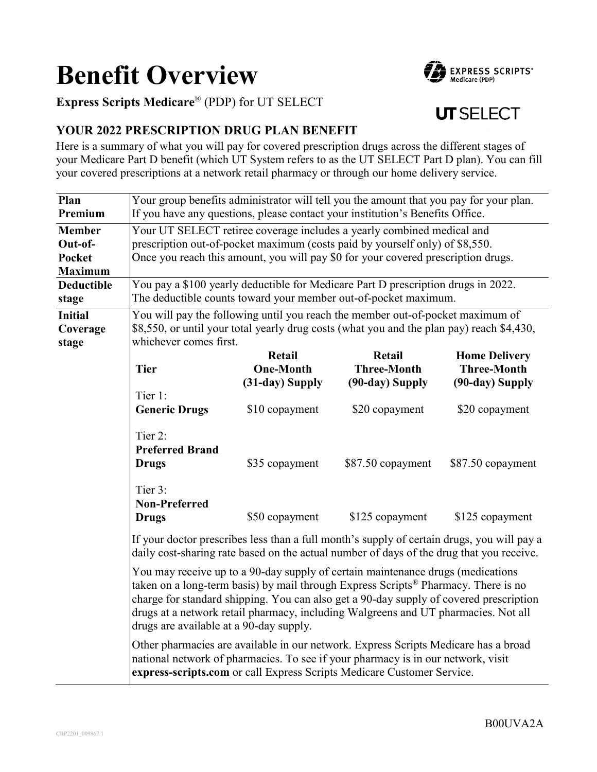# **Benefit Overview**

EXPRESS SCRIPTS<sup>\*</sup><br>Medicare (PDP)

# **Express Scripts Medicare**® (PDP) for UT SELECT

# **UT SELECT**

# **YOUR 2022 PRESCRIPTION DRUG PLAN BENEFIT**

Here is a summary of what you will pay for covered prescription drugs across the different stages of your Medicare Part D benefit (which UT System refers to as the UT SELECT Part D plan). You can fill your covered prescriptions at a network retail pharmacy or through our home delivery service.

| Plan              | Your group benefits administrator will tell you the amount that you pay for your plan.                                                                                                                                                                                                                                                                                                                       |                  |                    |                      |
|-------------------|--------------------------------------------------------------------------------------------------------------------------------------------------------------------------------------------------------------------------------------------------------------------------------------------------------------------------------------------------------------------------------------------------------------|------------------|--------------------|----------------------|
| Premium           | If you have any questions, please contact your institution's Benefits Office.                                                                                                                                                                                                                                                                                                                                |                  |                    |                      |
| <b>Member</b>     | Your UT SELECT retiree coverage includes a yearly combined medical and                                                                                                                                                                                                                                                                                                                                       |                  |                    |                      |
| Out-of-           | prescription out-of-pocket maximum (costs paid by yourself only) of \$8,550.                                                                                                                                                                                                                                                                                                                                 |                  |                    |                      |
| <b>Pocket</b>     | Once you reach this amount, you will pay \$0 for your covered prescription drugs.                                                                                                                                                                                                                                                                                                                            |                  |                    |                      |
| <b>Maximum</b>    |                                                                                                                                                                                                                                                                                                                                                                                                              |                  |                    |                      |
| <b>Deductible</b> | You pay a \$100 yearly deductible for Medicare Part D prescription drugs in 2022.                                                                                                                                                                                                                                                                                                                            |                  |                    |                      |
| stage             | The deductible counts toward your member out-of-pocket maximum.                                                                                                                                                                                                                                                                                                                                              |                  |                    |                      |
| <b>Initial</b>    | You will pay the following until you reach the member out-of-pocket maximum of                                                                                                                                                                                                                                                                                                                               |                  |                    |                      |
| Coverage          | \$8,550, or until your total yearly drug costs (what you and the plan pay) reach \$4,430,                                                                                                                                                                                                                                                                                                                    |                  |                    |                      |
| stage             | whichever comes first.                                                                                                                                                                                                                                                                                                                                                                                       |                  |                    |                      |
|                   |                                                                                                                                                                                                                                                                                                                                                                                                              | Retail           | Retail             | <b>Home Delivery</b> |
|                   | <b>Tier</b>                                                                                                                                                                                                                                                                                                                                                                                                  | <b>One-Month</b> | <b>Three-Month</b> | <b>Three-Month</b>   |
|                   |                                                                                                                                                                                                                                                                                                                                                                                                              | (31-day) Supply  | (90-day) Supply    | (90-day) Supply      |
|                   | Tier 1:                                                                                                                                                                                                                                                                                                                                                                                                      |                  |                    |                      |
|                   | <b>Generic Drugs</b>                                                                                                                                                                                                                                                                                                                                                                                         | \$10 copayment   | \$20 copayment     | \$20 copayment       |
|                   |                                                                                                                                                                                                                                                                                                                                                                                                              |                  |                    |                      |
|                   | Tier 2:                                                                                                                                                                                                                                                                                                                                                                                                      |                  |                    |                      |
|                   | <b>Preferred Brand</b>                                                                                                                                                                                                                                                                                                                                                                                       |                  |                    |                      |
|                   | <b>Drugs</b>                                                                                                                                                                                                                                                                                                                                                                                                 | \$35 copayment   | \$87.50 copayment  | \$87.50 copayment    |
|                   | Tier 3:                                                                                                                                                                                                                                                                                                                                                                                                      |                  |                    |                      |
|                   | <b>Non-Preferred</b>                                                                                                                                                                                                                                                                                                                                                                                         |                  |                    |                      |
|                   | <b>Drugs</b>                                                                                                                                                                                                                                                                                                                                                                                                 | \$50 copayment   | \$125 copayment    |                      |
|                   |                                                                                                                                                                                                                                                                                                                                                                                                              |                  |                    | \$125 copayment      |
|                   | If your doctor prescribes less than a full month's supply of certain drugs, you will pay a<br>daily cost-sharing rate based on the actual number of days of the drug that you receive.                                                                                                                                                                                                                       |                  |                    |                      |
|                   | You may receive up to a 90-day supply of certain maintenance drugs (medications<br>taken on a long-term basis) by mail through Express Scripts <sup>®</sup> Pharmacy. There is no<br>charge for standard shipping. You can also get a 90-day supply of covered prescription<br>drugs at a network retail pharmacy, including Walgreens and UT pharmacies. Not all<br>drugs are available at a 90-day supply. |                  |                    |                      |
|                   | Other pharmacies are available in our network. Express Scripts Medicare has a broad<br>national network of pharmacies. To see if your pharmacy is in our network, visit<br>express-scripts.com or call Express Scripts Medicare Customer Service.                                                                                                                                                            |                  |                    |                      |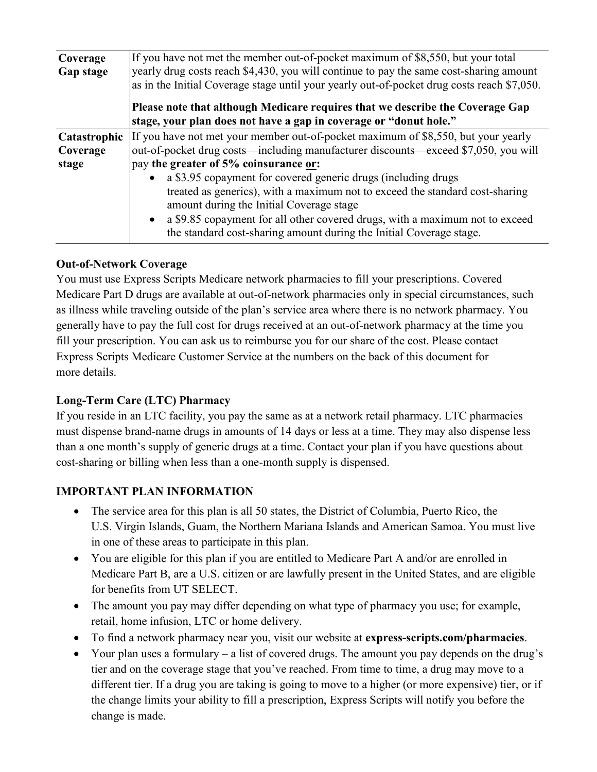| Coverage<br>Gap stage             | If you have not met the member out-of-pocket maximum of \$8,550, but your total<br>yearly drug costs reach \$4,430, you will continue to pay the same cost-sharing amount<br>as in the Initial Coverage stage until your yearly out-of-pocket drug costs reach \$7,050.<br>Please note that although Medicare requires that we describe the Coverage Gap<br>stage, your plan does not have a gap in coverage or "donut hole." |  |  |  |
|-----------------------------------|-------------------------------------------------------------------------------------------------------------------------------------------------------------------------------------------------------------------------------------------------------------------------------------------------------------------------------------------------------------------------------------------------------------------------------|--|--|--|
|                                   |                                                                                                                                                                                                                                                                                                                                                                                                                               |  |  |  |
| Catastrophic<br>Coverage<br>stage | If you have not met your member out-of-pocket maximum of \$8,550, but your yearly<br>out-of-pocket drug costs—including manufacturer discounts—exceed \$7,050, you will<br>pay the greater of 5% coinsurance or:                                                                                                                                                                                                              |  |  |  |
|                                   | a \$3.95 copayment for covered generic drugs (including drugs<br>treated as generics), with a maximum not to exceed the standard cost-sharing<br>amount during the Initial Coverage stage<br>• a \$9.85 copayment for all other covered drugs, with a maximum not to exceed<br>the standard cost-sharing amount during the Initial Coverage stage.                                                                            |  |  |  |

### **Out-of-Network Coverage**

You must use Express Scripts Medicare network pharmacies to fill your prescriptions. Covered Medicare Part D drugs are available at out-of-network pharmacies only in special circumstances, such as illness while traveling outside of the plan's service area where there is no network pharmacy. You generally have to pay the full cost for drugs received at an out-of-network pharmacy at the time you fill your prescription. You can ask us to reimburse you for our share of the cost. Please contact Express Scripts Medicare Customer Service at the numbers on the back of this document for more details.

#### **Long-Term Care (LTC) Pharmacy**

If you reside in an LTC facility, you pay the same as at a network retail pharmacy. LTC pharmacies must dispense brand-name drugs in amounts of 14 days or less at a time. They may also dispense less than a one month's supply of generic drugs at a time. Contact your plan if you have questions about cost-sharing or billing when less than a one-month supply is dispensed.

# **IMPORTANT PLAN INFORMATION**

- The service area for this plan is all 50 states, the District of Columbia, Puerto Rico, the U.S. Virgin Islands, Guam, the Northern Mariana Islands and American Samoa. You must live in one of these areas to participate in this plan.
- You are eligible for this plan if you are entitled to Medicare Part A and/or are enrolled in Medicare Part B, are a U.S. citizen or are lawfully present in the United States, and are eligible for benefits from UT SELECT.
- The amount you pay may differ depending on what type of pharmacy you use; for example, retail, home infusion, LTC or home delivery.
- To find a network pharmacy near you, visit our website at **express-scripts.com/pharmacies**.
- Your plan uses a formulary a list of covered drugs. The amount you pay depends on the drug's tier and on the coverage stage that you've reached. From time to time, a drug may move to a different tier. If a drug you are taking is going to move to a higher (or more expensive) tier, or if the change limits your ability to fill a prescription, Express Scripts will notify you before the change is made.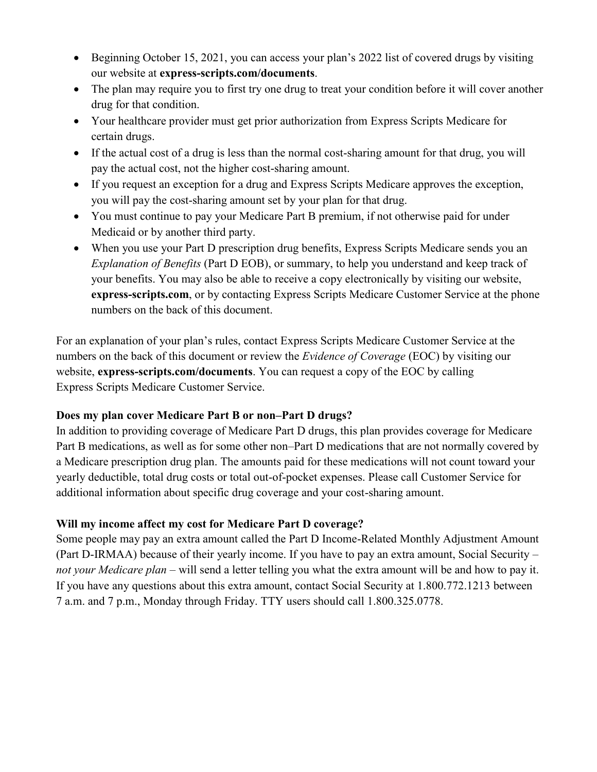- Beginning October 15, 2021, you can access your plan's 2022 list of covered drugs by visiting our website at **express-scripts.com/documents**.
- The plan may require you to first try one drug to treat your condition before it will cover another drug for that condition.
- Your healthcare provider must get prior authorization from Express Scripts Medicare for certain drugs.
- If the actual cost of a drug is less than the normal cost-sharing amount for that drug, you will pay the actual cost, not the higher cost-sharing amount.
- If you request an exception for a drug and Express Scripts Medicare approves the exception, you will pay the cost-sharing amount set by your plan for that drug.
- You must continue to pay your Medicare Part B premium, if not otherwise paid for under Medicaid or by another third party.
- When you use your Part D prescription drug benefits, Express Scripts Medicare sends you an *Explanation of Benefits* (Part D EOB), or summary, to help you understand and keep track of your benefits. You may also be able to receive a copy electronically by visiting our website, **express-scripts.com**, or by contacting Express Scripts Medicare Customer Service at the phone numbers on the back of this document.

For an explanation of your plan's rules, contact Express Scripts Medicare Customer Service at the numbers on the back of this document or review the *Evidence of Coverage* (EOC) by visiting our website, **express-scripts.com/documents**. You can request a copy of the EOC by calling Express Scripts Medicare Customer Service.

# **Does my plan cover Medicare Part B or non–Part D drugs?**

In addition to providing coverage of Medicare Part D drugs, this plan provides coverage for Medicare Part B medications, as well as for some other non–Part D medications that are not normally covered by a Medicare prescription drug plan. The amounts paid for these medications will not count toward your yearly deductible, total drug costs or total out-of-pocket expenses. Please call Customer Service for additional information about specific drug coverage and your cost-sharing amount.

# **Will my income affect my cost for Medicare Part D coverage?**

Some people may pay an extra amount called the Part D Income-Related Monthly Adjustment Amount (Part D-IRMAA) because of their yearly income. If you have to pay an extra amount, Social Security – *not your Medicare plan* – will send a letter telling you what the extra amount will be and how to pay it. If you have any questions about this extra amount, contact Social Security at 1.800.772.1213 between 7 a.m. and 7 p.m., Monday through Friday. TTY users should call 1.800.325.0778.